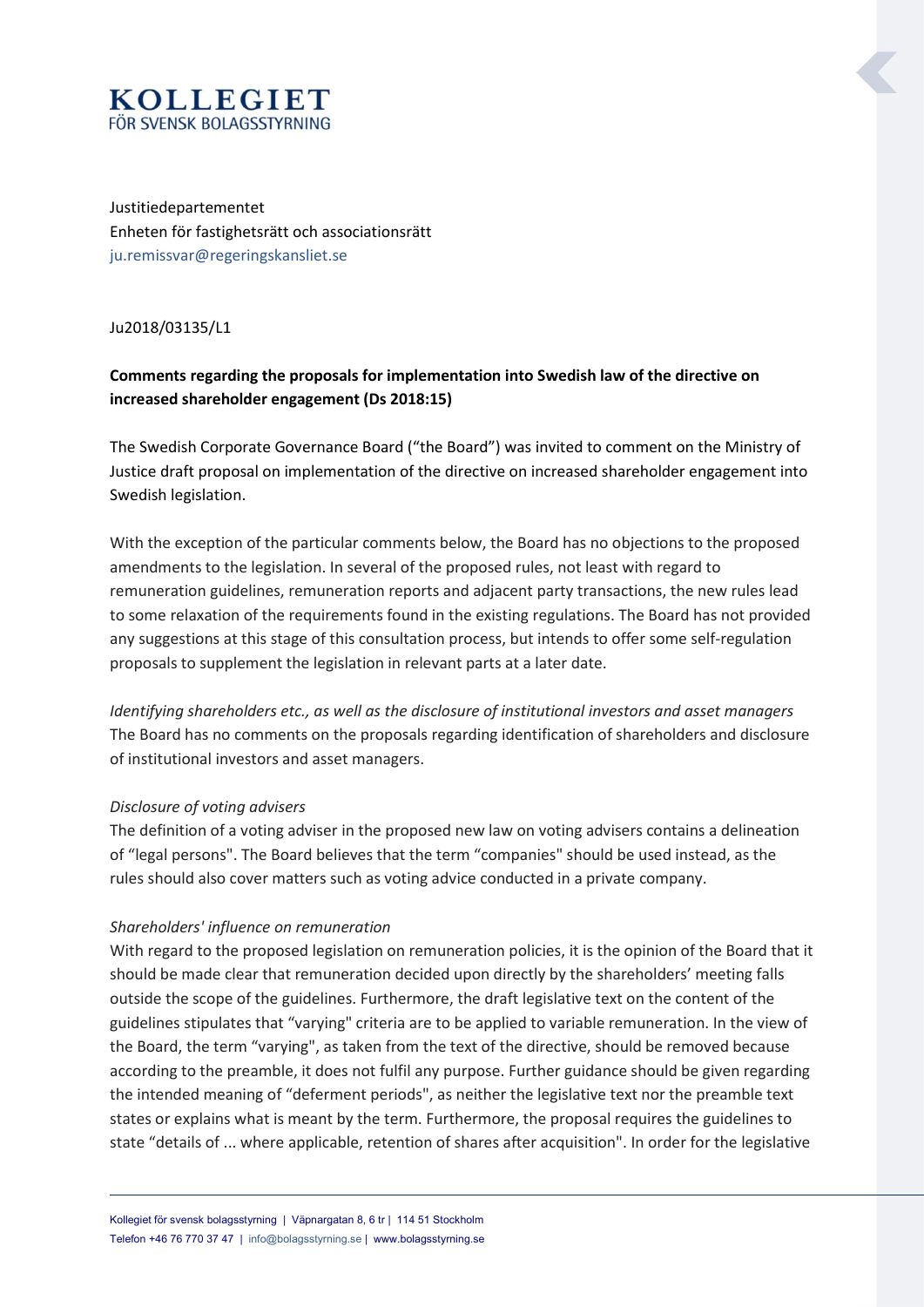# **KOLLEGIET** FÖR SVENSK BOLAGSSTYRNING

Justitiedepartementet Enheten för fastighetsrätt och associationsrätt ju.remissvar@regeringskansliet.se

Ju2018/03135/L1

### Comments regarding the proposals for implementation into Swedish law of the directive on increased shareholder engagement (Ds 2018:15)

The Swedish Corporate Governance Board ("the Board") was invited to comment on the Ministry of Justice draft proposal on implementation of the directive on increased shareholder engagement into Swedish legislation.

With the exception of the particular comments below, the Board has no objections to the proposed amendments to the legislation. In several of the proposed rules, not least with regard to remuneration guidelines, remuneration reports and adjacent party transactions, the new rules lead to some relaxation of the requirements found in the existing regulations. The Board has not provided any suggestions at this stage of this consultation process, but intends to offer some self-regulation proposals to supplement the legislation in relevant parts at a later date.

Identifying shareholders etc., as well as the disclosure of institutional investors and asset managers The Board has no comments on the proposals regarding identification of shareholders and disclosure of institutional investors and asset managers.

### Disclosure of voting advisers

The definition of a voting adviser in the proposed new law on voting advisers contains a delineation of "legal persons". The Board believes that the term "companies" should be used instead, as the rules should also cover matters such as voting advice conducted in a private company.

### Shareholders' influence on remuneration

With regard to the proposed legislation on remuneration policies, it is the opinion of the Board that it should be made clear that remuneration decided upon directly by the shareholders' meeting falls outside the scope of the guidelines. Furthermore, the draft legislative text on the content of the guidelines stipulates that "varying" criteria are to be applied to variable remuneration. In the view of the Board, the term "varying", as taken from the text of the directive, should be removed because according to the preamble, it does not fulfil any purpose. Further guidance should be given regarding the intended meaning of "deferment periods", as neither the legislative text nor the preamble text states or explains what is meant by the term. Furthermore, the proposal requires the guidelines to state "details of ... where applicable, retention of shares after acquisition". In order for the legislative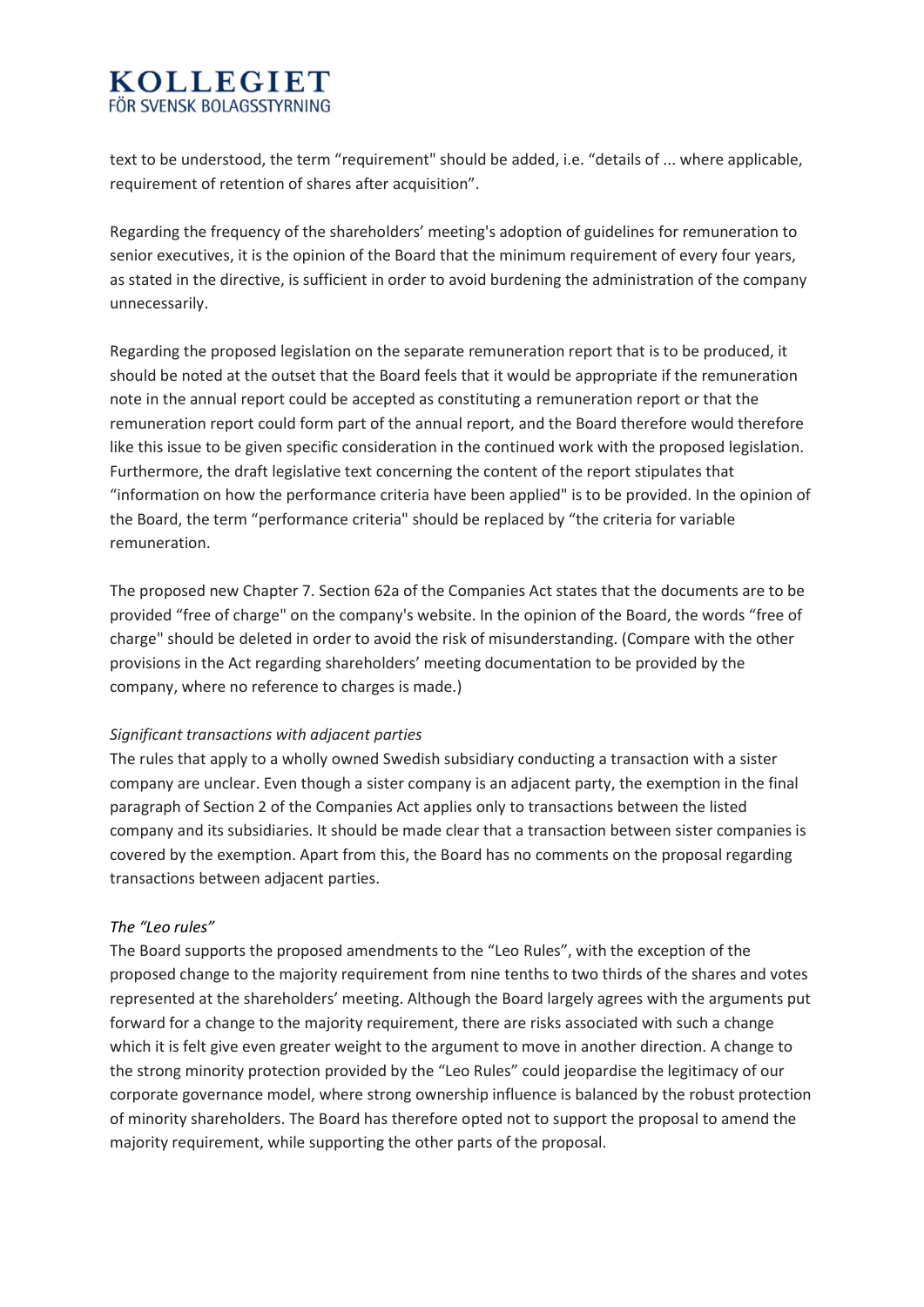### **KOLLEGIET** FÖR SVENSK BOLAGSSTYRNING

text to be understood, the term "requirement" should be added, i.e. "details of ... where applicable, requirement of retention of shares after acquisition".

Regarding the frequency of the shareholders' meeting's adoption of guidelines for remuneration to senior executives, it is the opinion of the Board that the minimum requirement of every four years, as stated in the directive, is sufficient in order to avoid burdening the administration of the company unnecessarily.

Regarding the proposed legislation on the separate remuneration report that is to be produced, it should be noted at the outset that the Board feels that it would be appropriate if the remuneration note in the annual report could be accepted as constituting a remuneration report or that the remuneration report could form part of the annual report, and the Board therefore would therefore like this issue to be given specific consideration in the continued work with the proposed legislation. Furthermore, the draft legislative text concerning the content of the report stipulates that "information on how the performance criteria have been applied" is to be provided. In the opinion of the Board, the term "performance criteria" should be replaced by "the criteria for variable remuneration.

The proposed new Chapter 7. Section 62a of the Companies Act states that the documents are to be provided "free of charge" on the company's website. In the opinion of the Board, the words "free of charge" should be deleted in order to avoid the risk of misunderstanding. (Compare with the other provisions in the Act regarding shareholders' meeting documentation to be provided by the company, where no reference to charges is made.)

### Significant transactions with adjacent parties

The rules that apply to a wholly owned Swedish subsidiary conducting a transaction with a sister company are unclear. Even though a sister company is an adjacent party, the exemption in the final paragraph of Section 2 of the Companies Act applies only to transactions between the listed company and its subsidiaries. It should be made clear that a transaction between sister companies is covered by the exemption. Apart from this, the Board has no comments on the proposal regarding transactions between adjacent parties.

### The "Leo rules"

The Board supports the proposed amendments to the "Leo Rules", with the exception of the proposed change to the majority requirement from nine tenths to two thirds of the shares and votes represented at the shareholders' meeting. Although the Board largely agrees with the arguments put forward for a change to the majority requirement, there are risks associated with such a change which it is felt give even greater weight to the argument to move in another direction. A change to the strong minority protection provided by the "Leo Rules" could jeopardise the legitimacy of our corporate governance model, where strong ownership influence is balanced by the robust protection of minority shareholders. The Board has therefore opted not to support the proposal to amend the majority requirement, while supporting the other parts of the proposal.